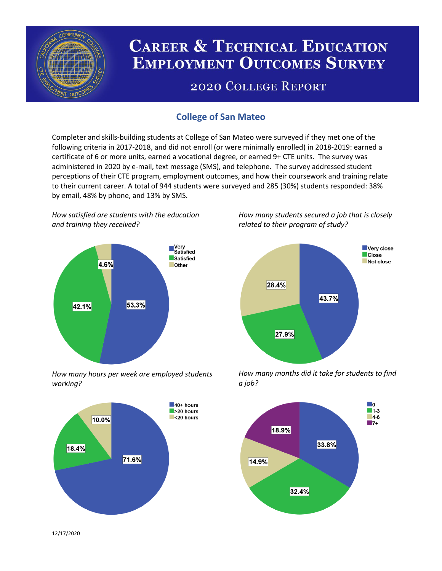

# **CAREER & TECHNICAL EDUCATION EMPLOYMENT OUTCOMES SURVEY**

## **2020 COLLEGE REPORT**

## **College of San Mateo**

Completer and skills-building students at College of San Mateo were surveyed if they met one of the following criteria in 2017-2018, and did not enroll (or were minimally enrolled) in 2018-2019: earned a certificate of 6 or more units, earned a vocational degree, or earned 9+ CTE units. The survey was administered in 2020 by e-mail, text message (SMS), and telephone. The survey addressed student perceptions of their CTE program, employment outcomes, and how their coursework and training relate to their current career. A total of 944 students were surveyed and 285 (30%) students responded: 38% by email, 48% by phone, and 13% by SMS.

*How satisfied are students with the education and training they received?*



*How many hours per week are employed students working?*



*How many students secured a job that is closely related to their program of study?*



*How many months did it take for students to find a job?*



12/17/2020